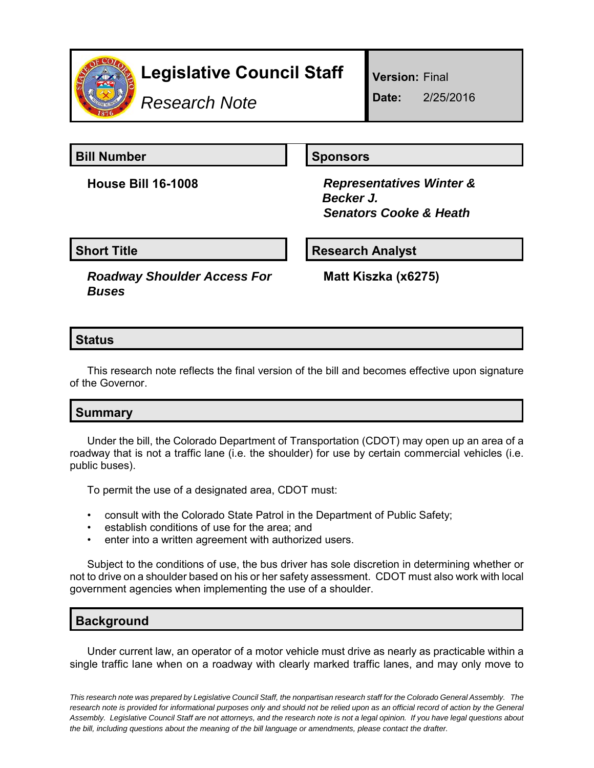

# **Legislative Council Staff**

*Research Note*

**Version:** Final

**Date:** 2/25/2016

**Bill Number Sponsors** 

**House Bill 16-1008** *Representatives Winter & Becker J. Senators Cooke & Heath*

**Short Title**  Research Analyst

*Roadway Shoulder Access For Buses*

**Matt Kiszka (x6275)**

### **Status**

This research note reflects the final version of the bill and becomes effective upon signature of the Governor.

### **Summary**

Under the bill, the Colorado Department of Transportation (CDOT) may open up an area of a roadway that is not a traffic lane (i.e. the shoulder) for use by certain commercial vehicles (i.e. public buses).

To permit the use of a designated area, CDOT must:

- consult with the Colorado State Patrol in the Department of Public Safety;
- establish conditions of use for the area; and
- enter into a written agreement with authorized users.

Subject to the conditions of use, the bus driver has sole discretion in determining whether or not to drive on a shoulder based on his or her safety assessment. CDOT must also work with local government agencies when implementing the use of a shoulder.

## **Background**

Under current law, an operator of a motor vehicle must drive as nearly as practicable within a single traffic lane when on a roadway with clearly marked traffic lanes, and may only move to

*This research note was prepared by Legislative Council Staff, the nonpartisan research staff for the Colorado General Assembly. The research note is provided for informational purposes only and should not be relied upon as an official record of action by the General Assembly. Legislative Council Staff are not attorneys, and the research note is not a legal opinion. If you have legal questions about the bill, including questions about the meaning of the bill language or amendments, please contact the drafter.*